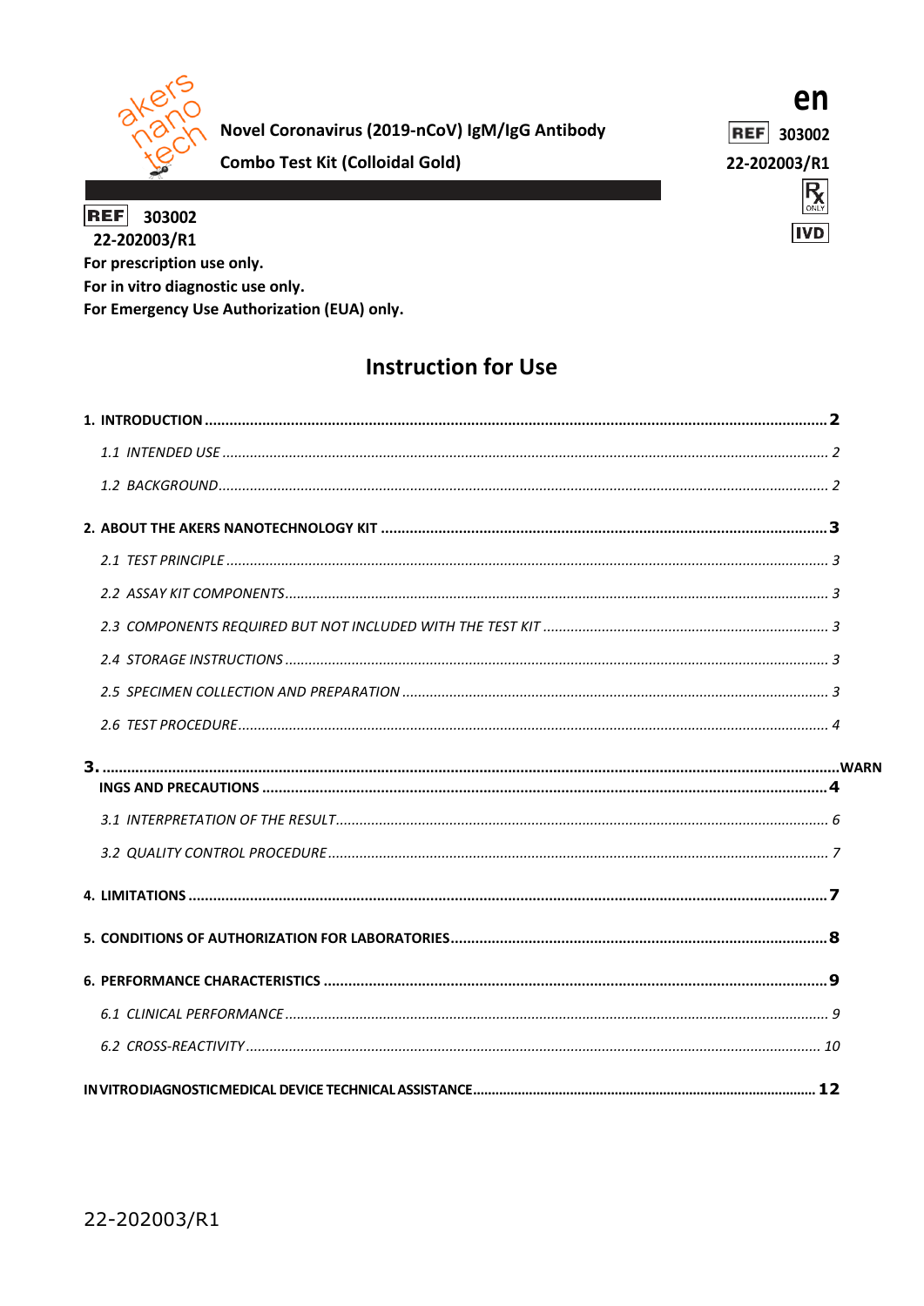

Novel Coronavirus (2019-nCoV) IgM/IgG Antibody

en

**REF** 303002

22-202003/R1



**REF** 303002 22-202003/R1 For prescription use only. For in vitro diagnostic use only. For Emergency Use Authorization (EUA) only.

**Combo Test Kit (Colloidal Gold)** 

# **Instruction for Use**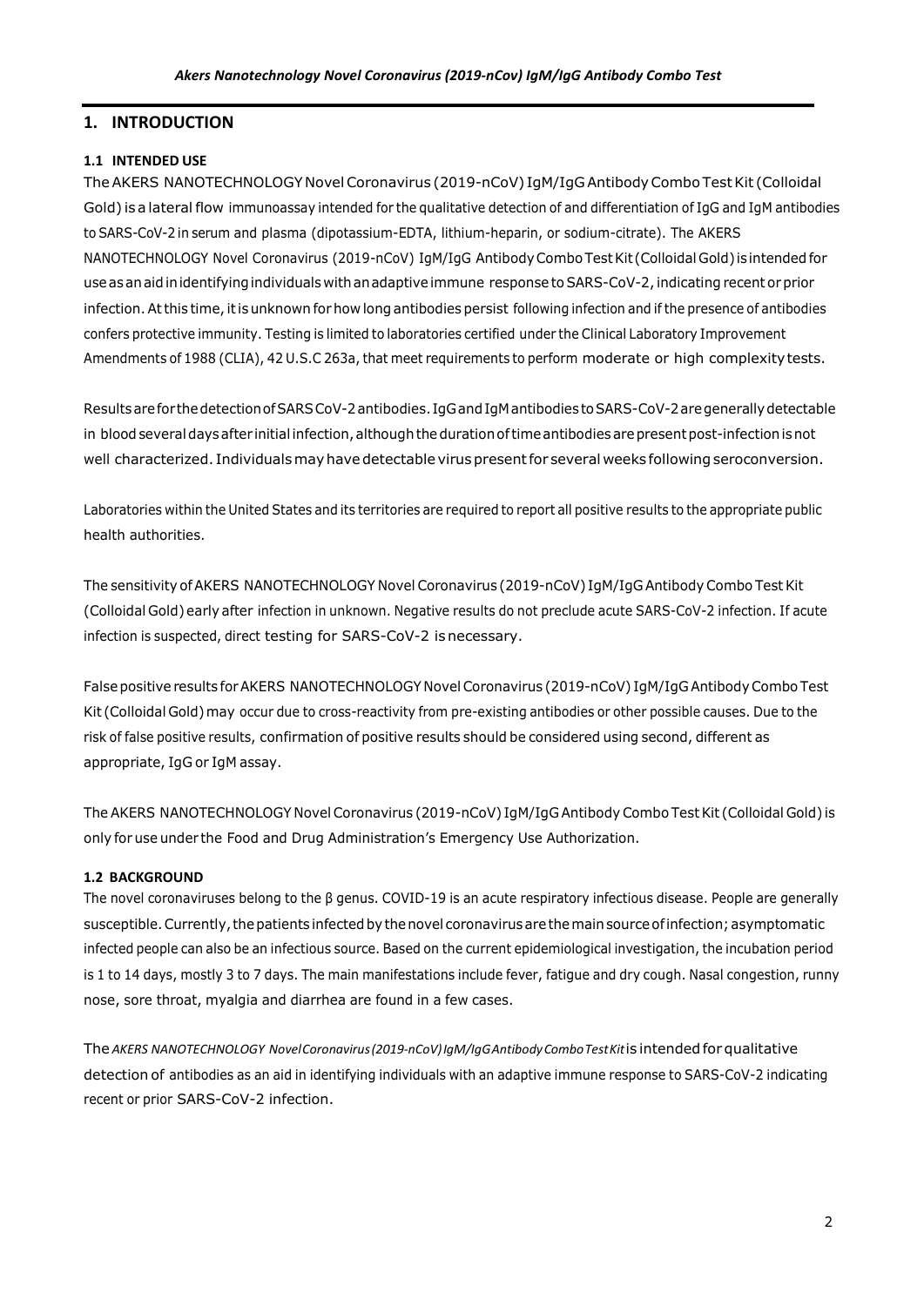# <span id="page-1-0"></span>**1. INTRODUCTION**

## <span id="page-1-1"></span>**1.1 INTENDED USE**

The AKERS NANOTECHNOLOGY Novel Coronavirus (2019-nCoV) IgM/IgG Antibody Combo Test Kit (Colloidal Gold) is a lateral flow immunoassay intended for the qualitative detection of and differentiation of IgG and IgM antibodies to SARS-CoV-2 in serum and plasma (dipotassium-EDTA, lithium-heparin, or sodium-citrate). The AKERS NANOTECHNOLOGY Novel Coronavirus (2019-nCoV) IgM/IgG AntibodyCombo TestKit (Colloidal Gold) isintended for use as an aid in identifying individuals with an adaptive immune response to SARS-CoV-2, indicating recent or prior infection. At this time, it is unknown for how long antibodies persist following infection and if the presence of antibodies confers protective immunity. Testing is limited to laboratories certified under the Clinical Laboratory Improvement Amendments of 1988 (CLIA), 42 U.S.C 263a, that meet requirements to perform moderate or high complexitytests.

Resultsarefor thedetectionofSARSCoV-2antibodies. IgGandIgMantibodies toSARS-CoV-2aregenerallydetectable in blood several days after initial infection, although the duration of time antibodies are present post-infection is not well characterized. Individuals may have detectable virus present for several weeks following seroconversion.

Laboratories within the United States and its territories are required to report all positive results to the appropriate public health authorities.

The sensitivity of AKERS NANOTECHNOLOGY Novel Coronavirus (2019-nCoV) IgM/IgG Antibody Combo Test Kit (Colloidal Gold) early after infection in unknown. Negative results do not preclude acute SARS-CoV-2 infection. If acute infection is suspected, direct testing for SARS-CoV-2 isnecessary.

False positive results for AKERS NANOTECHNOLOGY Novel Coronavirus (2019-nCoV) IgM/IgG Antibody Combo Test Kit (Colloidal Gold)may occur due to cross-reactivity from pre-existing antibodies or other possible causes. Due to the risk of false positive results, confirmation of positive results should be considered using second, different as appropriate, IgG or IgM assay.

The AKERS NANOTECHNOLOGY Novel Coronavirus (2019-nCoV) IgM/IgG Antibody Combo TestKit (Colloidal Gold) is only for use under the Food and Drug Administration's Emergency Use Authorization.

## <span id="page-1-2"></span>**1.2 BACKGROUND**

The novel coronaviruses belong to the β genus. COVID-19 is an acute respiratory infectious disease. People are generally susceptible. Currently, the patients infected by the novel coronavirus are the main source of infection; asymptomatic infected people can also be an infectious source. Based on the current epidemiological investigation, the incubation period is 1 to 14 days, mostly 3 to 7 days. The main manifestations include fever, fatigue and dry cough. Nasal congestion, runny nose, sore throat, myalgia and diarrhea are found in a few cases.

The *AKERS NANOTECHNOLOGY NovelCoronavirus(2019-nCoV)IgM/IgGAntibodyComboTestKit*is intended for qualitative detection of antibodies as an aid in identifying individuals with an adaptive immune response to SARS-CoV-2 indicating recent or prior SARS-CoV-2 infection.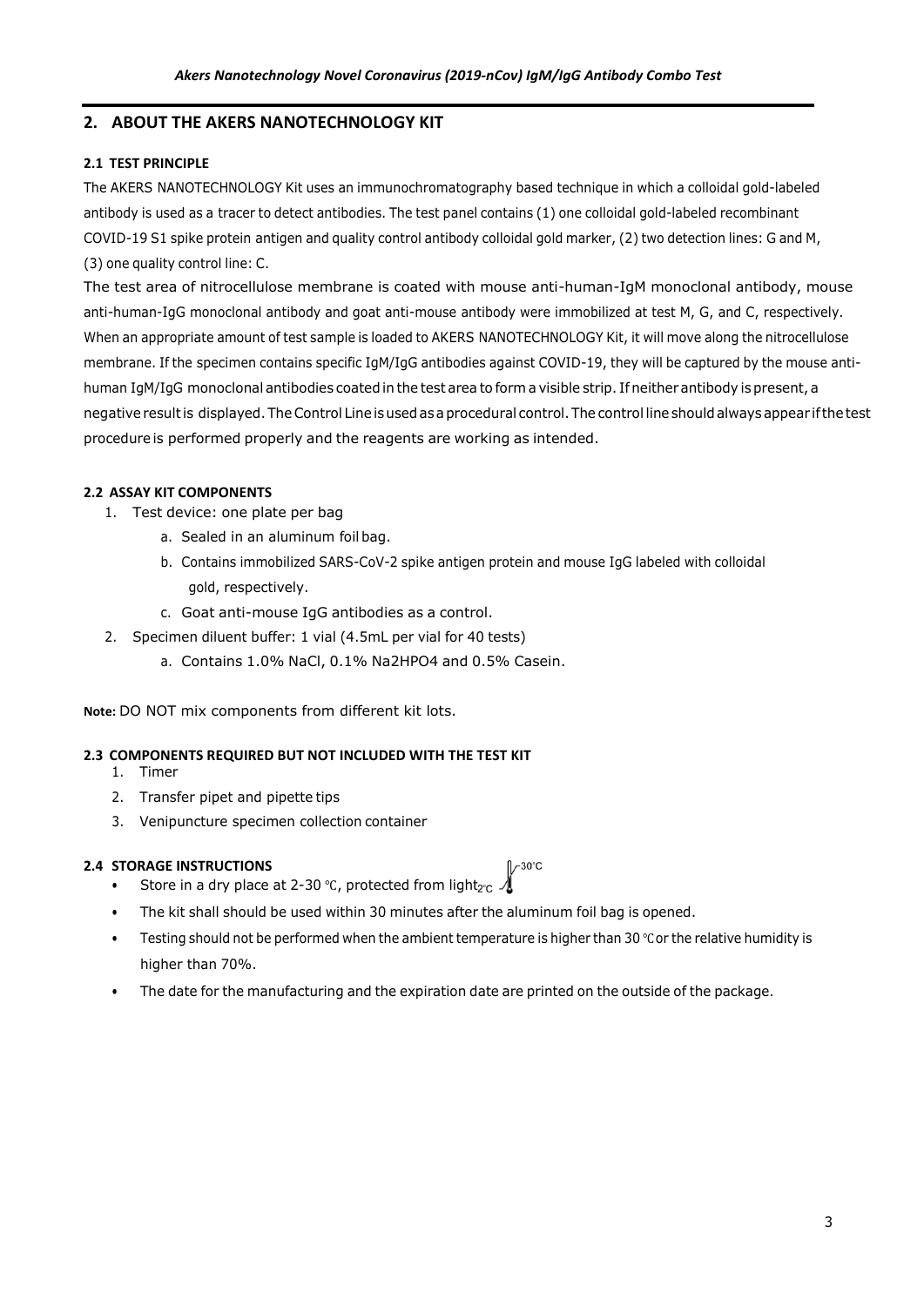## <span id="page-2-0"></span>**2. ABOUT THE AKERS NANOTECHNOLOGY KIT**

## <span id="page-2-1"></span>**2.1 TEST PRINCIPLE**

The AKERS NANOTECHNOLOGY Kit uses an immunochromatography based technique in which a colloidal gold-labeled antibody is used as a tracer to detect antibodies. The test panel contains (1) one colloidal gold-labeled recombinant COVID-19 S1 spike protein antigen and quality control antibody colloidal gold marker, (2) two detection lines: G and M, (3) one quality control line: C.

The test area of nitrocellulose membrane is coated with mouse anti-human-IgM monoclonal antibody, mouse anti-human-IgG monoclonal antibody and goat anti-mouse antibody were immobilized at test M, G, and C, respectively. When an appropriate amount of test sample is loaded to AKERS NANOTECHNOLOGY Kit, it will move along the nitrocellulose membrane. If the specimen contains specific IgM/IgG antibodies against COVID-19, they will be captured by the mouse antihuman IgM/IgG monoclonal antibodies coated in the test area to form a visible strip. If neither antibody is present, a negative result is displayed. The Control Line is used as a procedural control. The control line should always appear if the test procedure is performed properly and the reagents are working as intended.

## <span id="page-2-2"></span>**2.2 ASSAY KIT COMPONENTS**

- 1. Test device: one plate per bag
	- a. Sealed in an aluminum foil bag.
	- b. Contains immobilized SARS-CoV-2 spike antigen protein and mouse IgG labeled with colloidal gold, respectively.
	- c. Goat anti-mouse IgG antibodies as a control.
- 2. Specimen diluent buffer: 1 vial (4.5mL per vial for 40 tests)
	- a. Contains 1.0% NaCl, 0.1% Na2HPO4 and 0.5% Casein.

**Note:** DO NOT mix components from different kit lots.

## <span id="page-2-3"></span>**2.3 COMPONENTS REQUIRED BUT NOT INCLUDED WITH THE TEST KIT**

- 1. Timer
- 2. Transfer pipet and pipette tips
- 3. Venipuncture specimen collection container

## **2.4 STORAGE INSTRUCTIONS**

 $\sqrt{230^\circ}$ C

- <span id="page-2-4"></span>Store in a dry place at 2-30 °C, protected from light $_{2^{\circ}C}$
- The kit shall should be used within 30 minutes after the aluminum foil bag is opened.
- Testing should not be performed when the ambient temperature is higher than 30 ℃or the relative humidity is higher than 70%.
- <span id="page-2-5"></span>• The date for the manufacturing and the [expiration](https://fanyi.so.com/#expiration%20date) date are printed on the outside of the package.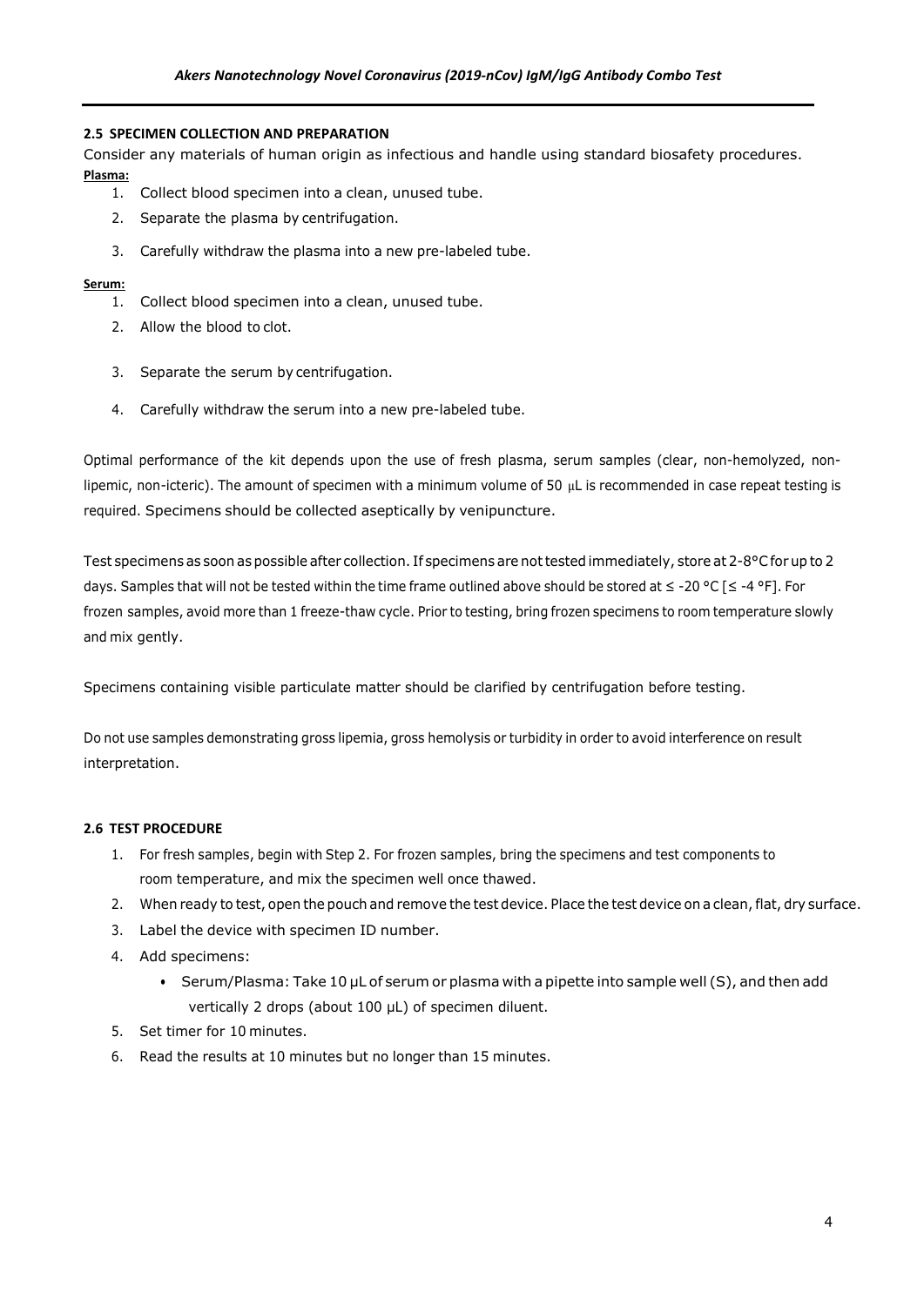## **2.5 SPECIMEN COLLECTION AND PREPARATION**

Consider any materials of human origin as infectious and handle using standard biosafety procedures. **Plasma:**

- 1. Collect blood specimen into a clean, unused tube.
- 2. Separate the plasma by centrifugation.
- 3. Carefully withdraw the plasma into a new pre-labeled tube.

## **Serum:**

- 1. Collect blood specimen into a clean, unused tube.
- 2. Allow the blood to clot.
- 3. Separate the serum by centrifugation.
- 4. Carefully withdraw the serum into a new pre-labeled tube.

Optimal performance of the kit depends upon the use of fresh plasma, serum samples (clear, non-hemolyzed, nonlipemic, non-icteric). The amount of specimen with a minimum volume of 50 μL is recommended in case repeat testing is required. Specimens should be collected aseptically by venipuncture.

Test specimens as soon as possible after collection. If specimens are not tested immediately, store at 2-8°C for up to 2 days. Samples that will not be tested within the time frame outlined above should be stored at ≤ -20 °C [≤ -4 °F]. For frozen samples, avoid more than 1 freeze-thaw cycle. Prior to testing, bring frozen specimens to room temperature slowly and mix gently.

Specimens containing visible particulate matter should be clarified by centrifugation before testing.

Do not use samples demonstrating gross lipemia, gross hemolysis or turbidity in order to avoid interference on result interpretation.

## **2.6 TEST PROCEDURE**

- 1. For fresh samples, begin with Step 2. For frozen samples, bring the specimens and test components to room temperature, and mix the specimen well once thawed.
- 2. When ready to test, open the pouch and remove the test device. Place the test device on a clean, flat, dry surface.
- 3. Label the device with specimen ID number.
- 4. Add specimens:
	- Serum/Plasma: Take 10 μL of serum or plasma with a pipette into sample well (S), and then add vertically 2 drops (about 100 μL) of specimen diluent.
- 5. Set timer for 10 minutes.
- 6. Read the results at 10 minutes but no longer than 15 minutes.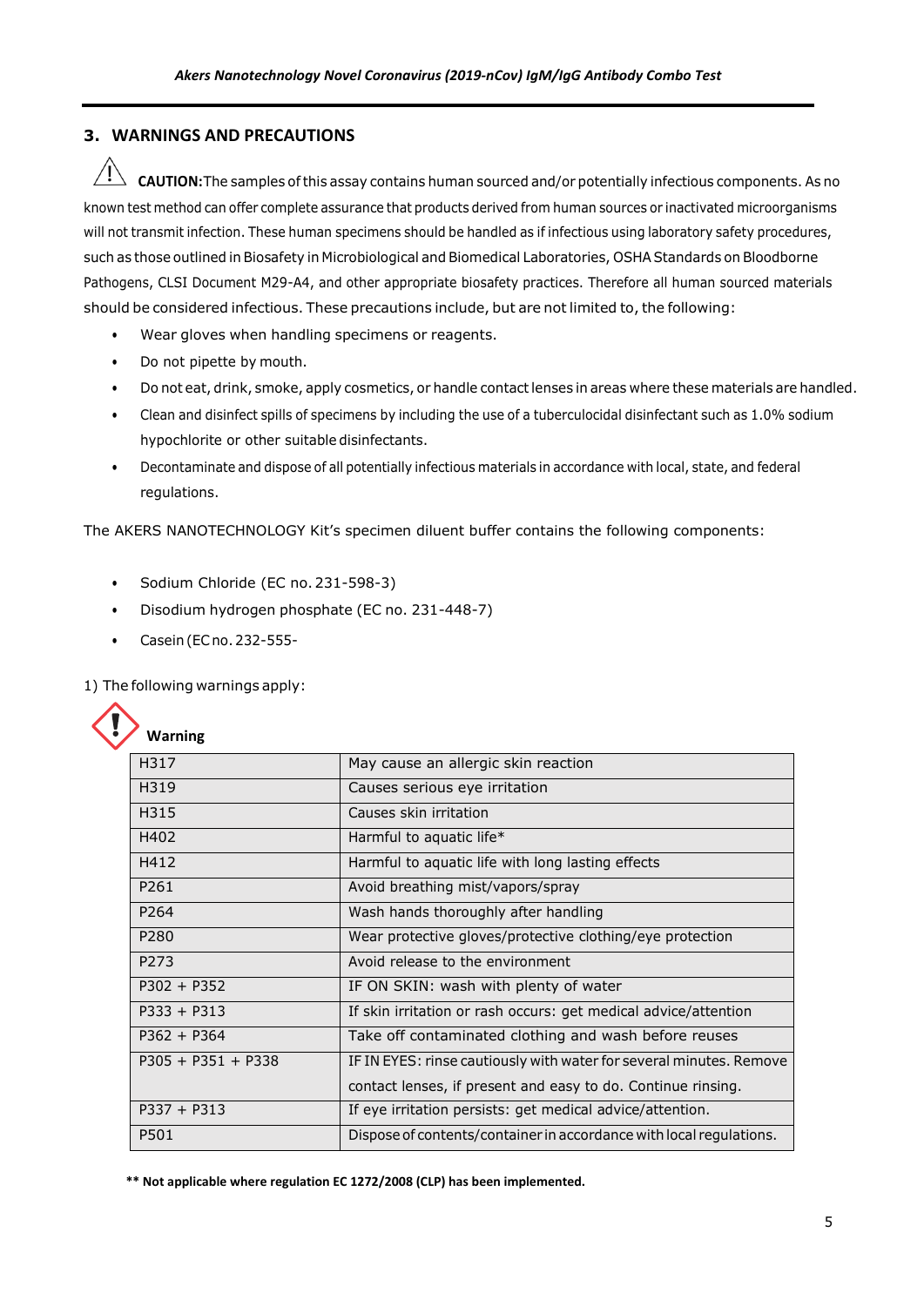# <span id="page-4-1"></span><span id="page-4-0"></span>**3. WARNINGS AND PRECAUTIONS**

**CAUTION:** The samples of this assay contains human sourced and/or potentially infectious components. As no known test method can offer complete assurance that products derived from human sources or inactivated microorganisms will not transmit infection. These human specimens should be handled as if infectious using laboratory safety procedures, such as those outlined in Biosafety in Microbiological and Biomedical Laboratories, OSHA Standards on Bloodborne Pathogens, CLSI Document M29-A4, and other appropriate biosafety practices. Therefore all human sourced materials should be considered infectious. These precautions include, but are not limited to, the following:

- Wear gloves when handling specimens or reagents.
- Do not pipette by mouth.
- Do not eat, drink, smoke, apply cosmetics, or handle contact lenses in areas where these materials are handled.
- Clean and disinfect spills of specimens by including the use of a tuberculocidal disinfectant such as 1.0% sodium hypochlorite or other suitable disinfectants.
- Decontaminate and dispose of all potentially infectious materials in accordance with local, state, and federal regulations.

The AKERS NANOTECHNOLOGY Kit's specimen diluent buffer contains the following components:

- Sodium Chloride (EC no.231-598-3)
- Disodium hydrogen phosphate (EC no. 231-448-7)
- Casein(ECno.232-555-

1) The following warnings apply:

|  | Warning |
|--|---------|
|--|---------|

| H317                 | May cause an allergic skin reaction                                 |
|----------------------|---------------------------------------------------------------------|
| H319                 | Causes serious eye irritation                                       |
| H315                 | Causes skin irritation                                              |
| H402                 | Harmful to aquatic life*                                            |
| H412                 | Harmful to aguatic life with long lasting effects                   |
| P261                 | Avoid breathing mist/vapors/spray                                   |
| P <sub>264</sub>     | Wash hands thoroughly after handling                                |
| P <sub>280</sub>     | Wear protective gloves/protective clothing/eye protection           |
| P273                 | Avoid release to the environment                                    |
| $P302 + P352$        | IF ON SKIN: wash with plenty of water                               |
| $P333 + P313$        | If skin irritation or rash occurs: get medical advice/attention     |
| $P362 + P364$        | Take off contaminated clothing and wash before reuses               |
| $P305 + P351 + P338$ | IF IN EYES: rinse cautiously with water for several minutes. Remove |
|                      | contact lenses, if present and easy to do. Continue rinsing.        |
| $P337 + P313$        | If eye irritation persists: get medical advice/attention.           |
| P501                 | Dispose of contents/container in accordance with local regulations. |
|                      |                                                                     |

**\*\* Not applicable where regulation EC 1272/2008 (CLP) has been implemented.**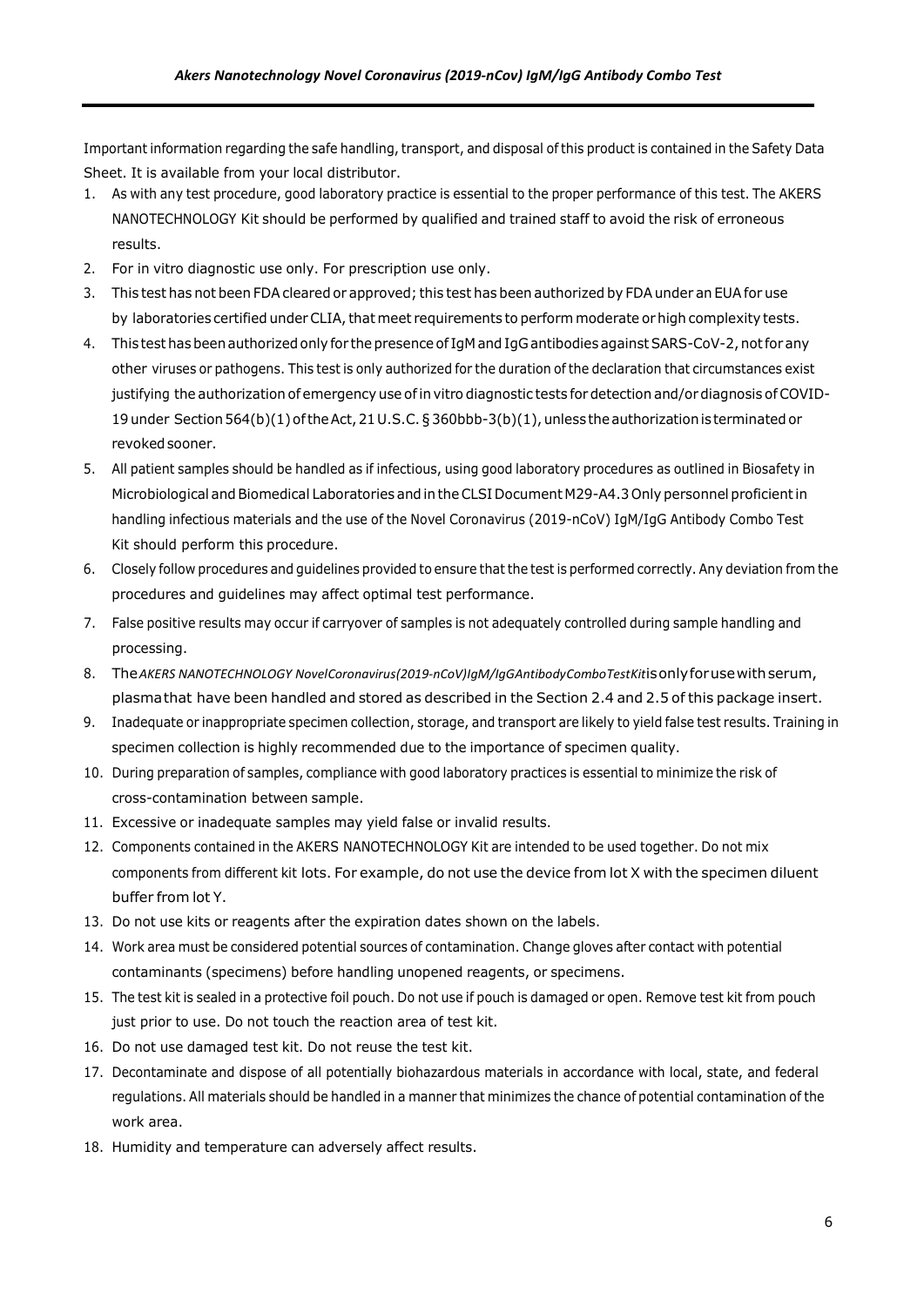Important information regarding the safe handling, transport, and disposal of this product is contained in the Safety Data Sheet. It is available from your local distributor.

- 1. As with any test procedure, good laboratory practice is essential to the proper performance of this test. The AKERS NANOTECHNOLOGY Kit should be performed by qualified and trained staff to avoid the risk of erroneous results.
- 2. For in vitro diagnostic use only. For prescription use only.
- 3. This test has not been FDAcleared or approved; this test has been authorized by FDAunder an EUA for use by laboratories certified under CLIA, that meet requirements to perform moderate or high complexity tests.
- 4. This test has been authorized only for the presence of IgM and IgG antibodies against SARS-CoV-2, not for any other viruses or pathogens. This test is only authorized for the duration of the declaration that circumstances exist justifying the authorization of emergency use of in vitro diagnostic tests for detection and/or diagnosis of COVID-19 under Section564(b)(1)oftheAct,21U.S.C.§360bbb-3(b)(1),unless theauthorizationis terminatedor revoked sooner.
- 5. All patient samples should be handled as if infectious, using good laboratory procedures as outlined in Biosafety in Microbiological and Biomedical Laboratories and in the CLSI Document M29-A4.3 Only personnel proficient in handling infectious materials and the use of the Novel Coronavirus (2019-nCoV) IgM/IgG Antibody Combo Test Kit should perform this procedure.
- 6. Closely follow procedures and guidelines provided to ensure that the test is performed correctly. Any deviation from the procedures and guidelines may affect optimal test performance.
- 7. False positive results may occur if carryover of samples is not adequately controlled during sample handling and processing.
- 8. The*AKERS NANOTECHNOLOGY NovelCoronavirus(2019-nCoV)IgM/IgGAntibodyComboTestKit*isonlyforusewithserum, plasmathat have been handled and stored as described in the Section 2.4 and 2.5 of this package insert.
- 9. Inadequate or inappropriate specimen collection, storage, and transport are likely to yield false test results. Training in specimen collection is highly recommended due to the importance of specimen quality.
- 10. During preparation of samples, compliance with good laboratory practices is essential to minimize the risk of cross-contamination between sample.
- 11. Excessive or inadequate samples may yield false or invalid results.
- 12. Components contained in the AKERS NANOTECHNOLOGY Kit are intended to be used together. Do not mix components from different kit lots. For example, do not use the device from lot X with the specimen diluent buffer from lot Y.
- 13. Do not use kits or reagents after the expiration dates shown on the labels.
- 14. Work area must be considered potential sources of contamination. Change gloves after contact with potential contaminants (specimens) before handling unopened reagents, or specimens.
- 15. The test kit is sealed in a protective foil pouch. Do not use if pouch is damaged or open. Remove test kit from pouch just prior to use. Do not touch the reaction area of test kit.
- 16. Do not use damaged test kit. Do not reuse the test kit.
- 17. Decontaminate and dispose of all potentially biohazardous materials in accordance with local, state, and federal regulations. All materials should be handled in a manner that minimizes the chance of potential contamination of the work area.
- 18. Humidity and temperature can adversely affect results.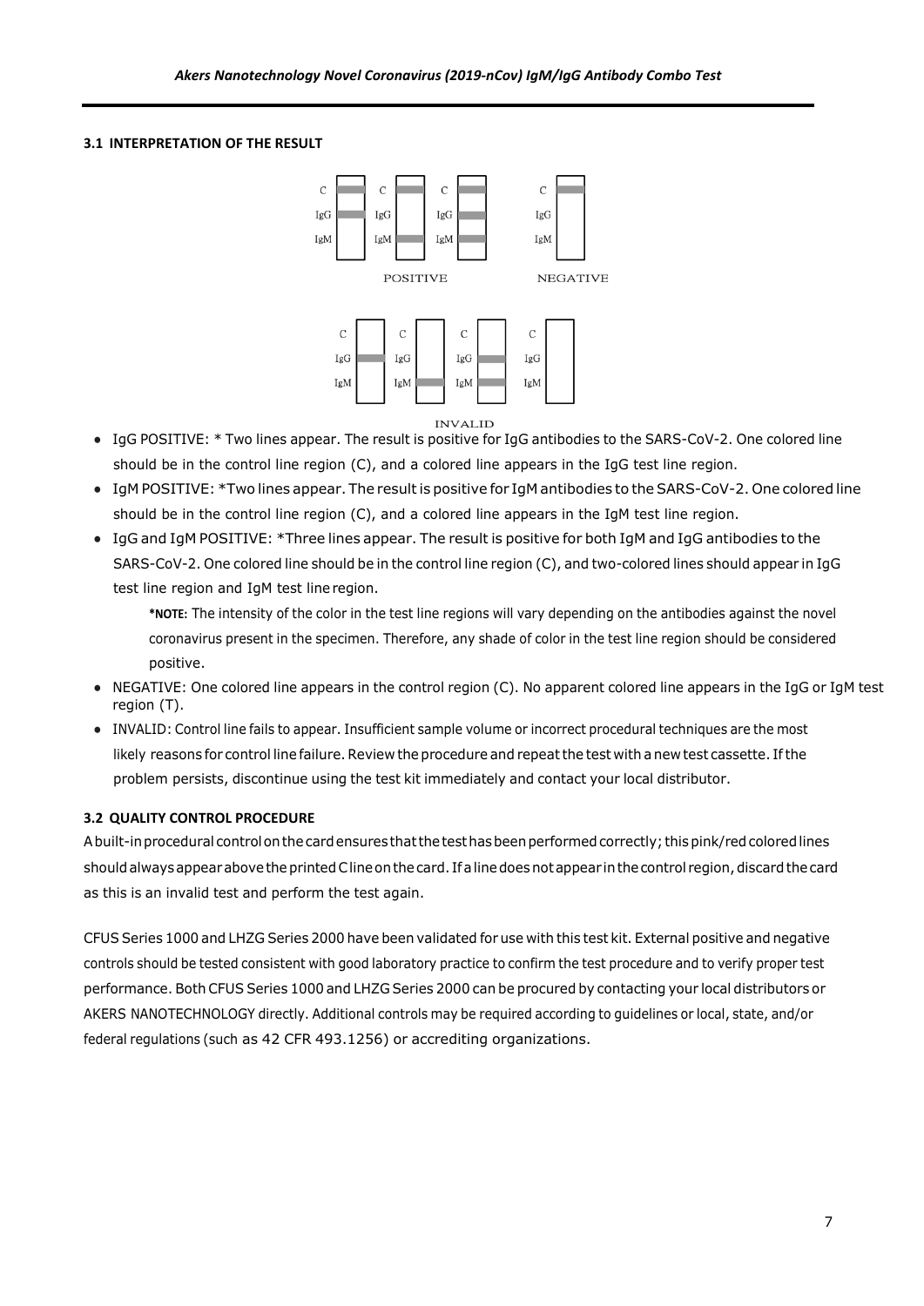## <span id="page-6-0"></span>**3.1 INTERPRETATION OF THE RESULT**



- **•** IgG POSITIVE: \* Two lines appear. The result is positive for IgG antibodies to the SARS-CoV-2. One colored line should be in the control line region (C), and a colored line appears in the IgG test line region.
- **•** IgM POSITIVE: \*Two lines appear. The resultis positive for IgM antibodies to the SARS-CoV-2. One colored line should be in the control line region (C), and a colored line appears in the IgM test line region.
- **•** IgG and IgM POSITIVE: \*Three lines appear. The result is positive for both IgM and IgG antibodies to the SARS-CoV-2. One colored line should be in the control line region (C), and two-colored lines should appear in IgG test line region and IgM test line region.

**\*NOTE:** The intensity of the color in the test line regions will vary depending on the antibodies against the novel coronavirus present in the specimen. Therefore, any shade of color in the test line region should be considered positive.

- **•** NEGATIVE: One colored line appears in the control region (C). No apparent colored line appears in the IgG or IgM test region (T).
- **•** INVALID: Control line fails to appear. Insufficient sample volume or incorrect procedural techniques are the most likely reasons for control line failure. Review the procedure and repeat the test with a new test cassette. If the problem persists, discontinue using the test kit immediately and contact your local distributor.

## **3.2 QUALITY CONTROL PROCEDURE**

Abuilt-inprocedural controlonthe cardensuresthatthetesthasbeenperformedcorrectly; thispink/redcoloredlines should always appear above the printed Cline on the card. If a line does not appear in the control region, discard the card as this is an invalid test and perform the test again.

CFUS Series 1000 and LHZG Series 2000 have been validated for use with this test kit. External positive and negative controls should be tested consistent with good laboratory practice to confirm the test procedure and to verify proper test performance. Both CFUS Series 1000 and LHZG Series 2000 can be procured by contacting your local distributors or AKERS NANOTECHNOLOGY directly. Additional controls may be required according to guidelines or local, state, and/or federal regulations (such as 42 CFR 493.1256) or accrediting organizations.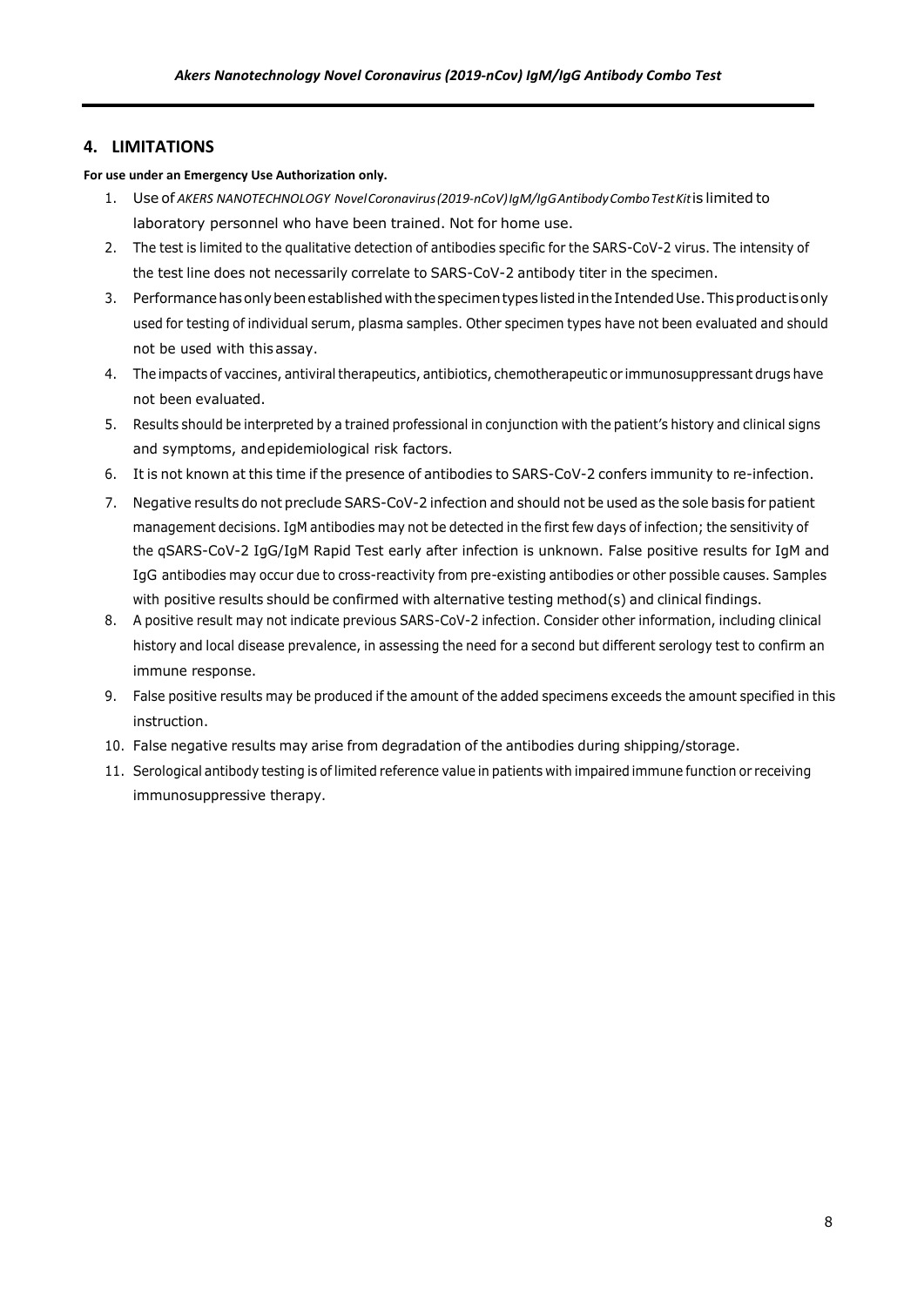## <span id="page-7-1"></span><span id="page-7-0"></span>**4. LIMITATIONS**

#### **For use under an Emergency Use Authorization only.**

- 1. Use of *AKERS NANOTECHNOLOGY NovelCoronavirus(2019-nCoV)IgM/IgGAntibodyComboTestKit*is limited to laboratory personnel who have been trained. Not for home use.
- 2. The test is limited to the qualitative detection of antibodies specific for the SARS-CoV-2 virus. The intensity of the test line does not necessarily correlate to SARS-CoV-2 antibody titer in the specimen.
- 3. Performance has only been established with the specimen types listed in the Intended Use. This product is only used for testing of individual serum, plasma samples. Other specimen types have not been evaluated and should not be used with this assay.
- 4. The impacts of vaccines, antiviral therapeutics, antibiotics, chemotherapeutic or immunosuppressant drugs have not been evaluated.
- 5. Results should be interpreted by a trained professional in conjunction with the patient's history and clinical signs and symptoms, andepidemiological risk factors.
- 6. It is not known at this time if the presence of antibodies to SARS-CoV-2 confers immunity to re-infection.
- 7. Negative results do not preclude SARS-CoV-2 infection and should not be used as the sole basis for patient management decisions. IgM antibodies may not be detected in the first few days of infection; the sensitivity of the qSARS-CoV-2 IgG/IgM Rapid Test early after infection is unknown. False positive results for IgM and IgG antibodies may occur due to cross-reactivity from pre-existing antibodies or other possible causes. Samples with positive results should be confirmed with alternative testing method(s) and clinical findings.
- 8. A positive result may not indicate previous SARS-CoV-2 infection. Consider other information, including clinical history and local disease prevalence, in assessing the need for a second but different serology test to confirm an immune response.
- 9. False positive results may be produced if the amount of the added specimens exceeds the amount specified in this instruction.
- 10. False negative results may arise from degradation of the antibodies during shipping/storage.
- 11. Serological antibody testing is of limited reference value in patients with impaired immune function or receiving immunosuppressive therapy.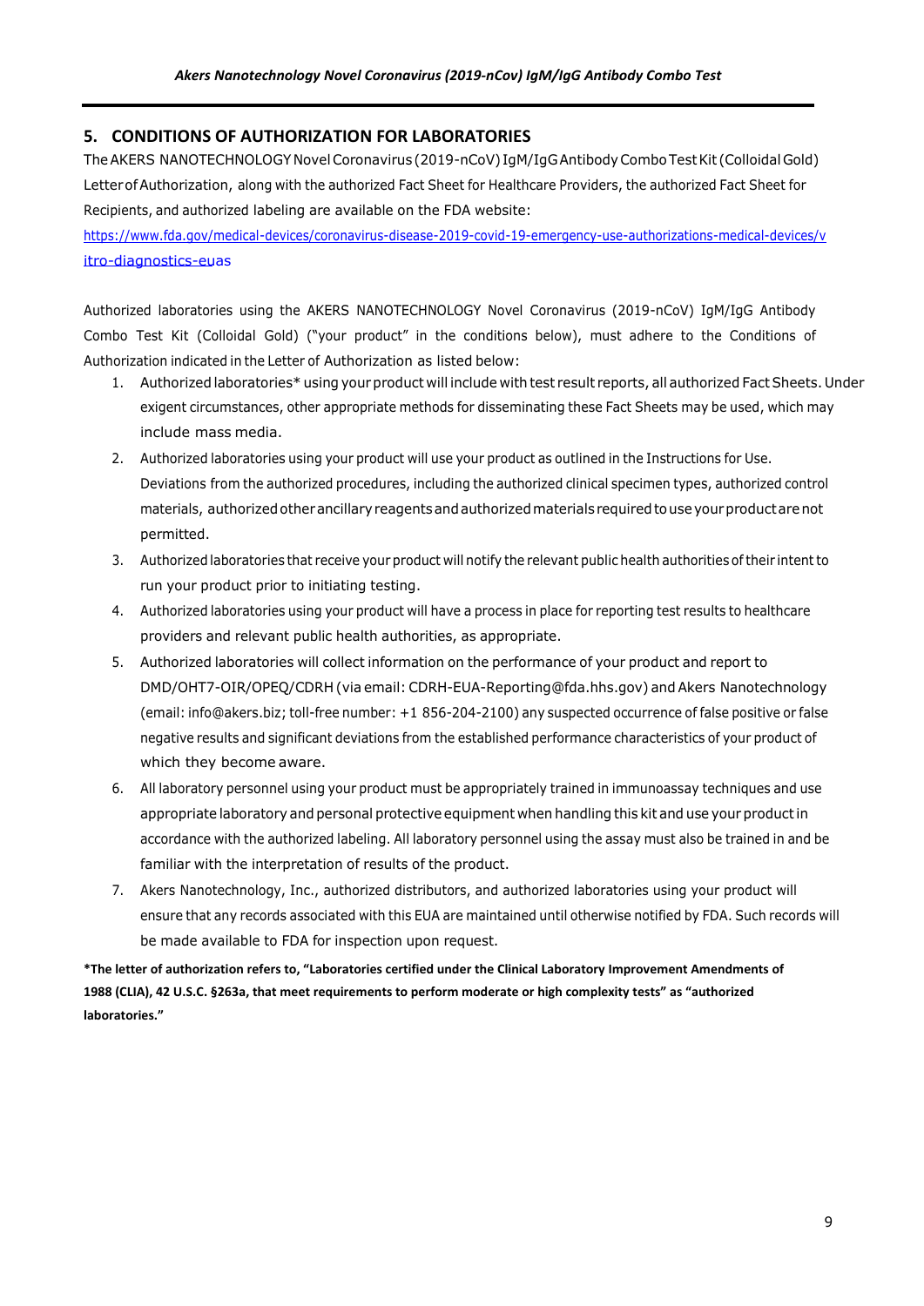## <span id="page-8-0"></span>**5. CONDITIONS OF AUTHORIZATION FOR LABORATORIES**

The AKERS NANOTECHNOLOGY Novel Coronavirus (2019-nCoV) IgM/IgG Antibody Combo Test Kit (Colloidal Gold) LetterofAuthorization, along with the authorized Fact Sheet for Healthcare Providers, the authorized Fact Sheet for Recipients, and authorized labeling are available on the FDA website:

[https://www.fda.gov/medical-devices/coronavirus-disease-2019-covid-19-emergency-use-authorizations-medical-devices/v](https://www.fda.gov/medical-devices/coronavirus-disease-2019-covid-19-emergency-use-authorizations-medical-devices/vitro-diagnostics-euas) [itro-diagnostics-euas](https://www.fda.gov/medical-devices/coronavirus-disease-2019-covid-19-emergency-use-authorizations-medical-devices/vitro-diagnostics-euas)

Authorized laboratories using the AKERS NANOTECHNOLOGY Novel Coronavirus (2019-nCoV) IgM/IgG Antibody Combo Test Kit (Colloidal Gold) ("your product" in the conditions below), must adhere to the Conditions of Authorization indicated in the Letter of Authorization as listed below:

- 1. Authorized laboratories\* using your product will include with test result reports, all authorized Fact Sheets. Under exigent circumstances, other appropriate methods for disseminating these Fact Sheets may be used, which may include mass media.
- 2. Authorized laboratories using your product will use your product as outlined in the Instructions for Use. Deviations from the authorized procedures, including the authorized clinical specimen types, authorized control materials, authorized other ancillary reagents and authorized materials required to use your product are not permitted.
- 3. Authorized laboratories that receive your product will notify the relevant public health authorities oftheir intentto run your product prior to initiating testing.
- 4. Authorized laboratories using your product will have a process in place for reporting test results to healthcare providers and relevant public health authorities, as appropriate.
- 5. Authorized laboratories will collect information on the performance of your product and report to DMD/OHT7-OIR/OPEQ/CDRH (via email: CDRH-EUA-Reporting@fda.hhs.gov) and Akers Nanotechnology (email: info@akers.biz; toll-free number: +1 856-204-2100) any suspected occurrence of false positive or false negative results and significant deviations from the established performance characteristics of your product of which they become aware.
- 6. All laboratory personnel using your product must be appropriately trained in immunoassay techniques and use appropriate laboratory and personal protective equipment when handling this kit and use your product in accordance with the authorized labeling. All laboratory personnel using the assay must also be trained in and be familiar with the interpretation of results of the product.
- 7. Akers Nanotechnology, Inc., authorized distributors, and authorized laboratories using your product will ensure that any records associated with this EUA are maintained until otherwise notified by FDA. Such records will be made available to FDA for inspection upon request.

**\*The letter of authorization refers to, "Laboratories certified under the Clinical Laboratory Improvement Amendments of 1988 (CLIA), 42 U.S.C. §263a, that meet requirements to perform moderate or high complexity tests" as "authorized laboratories."**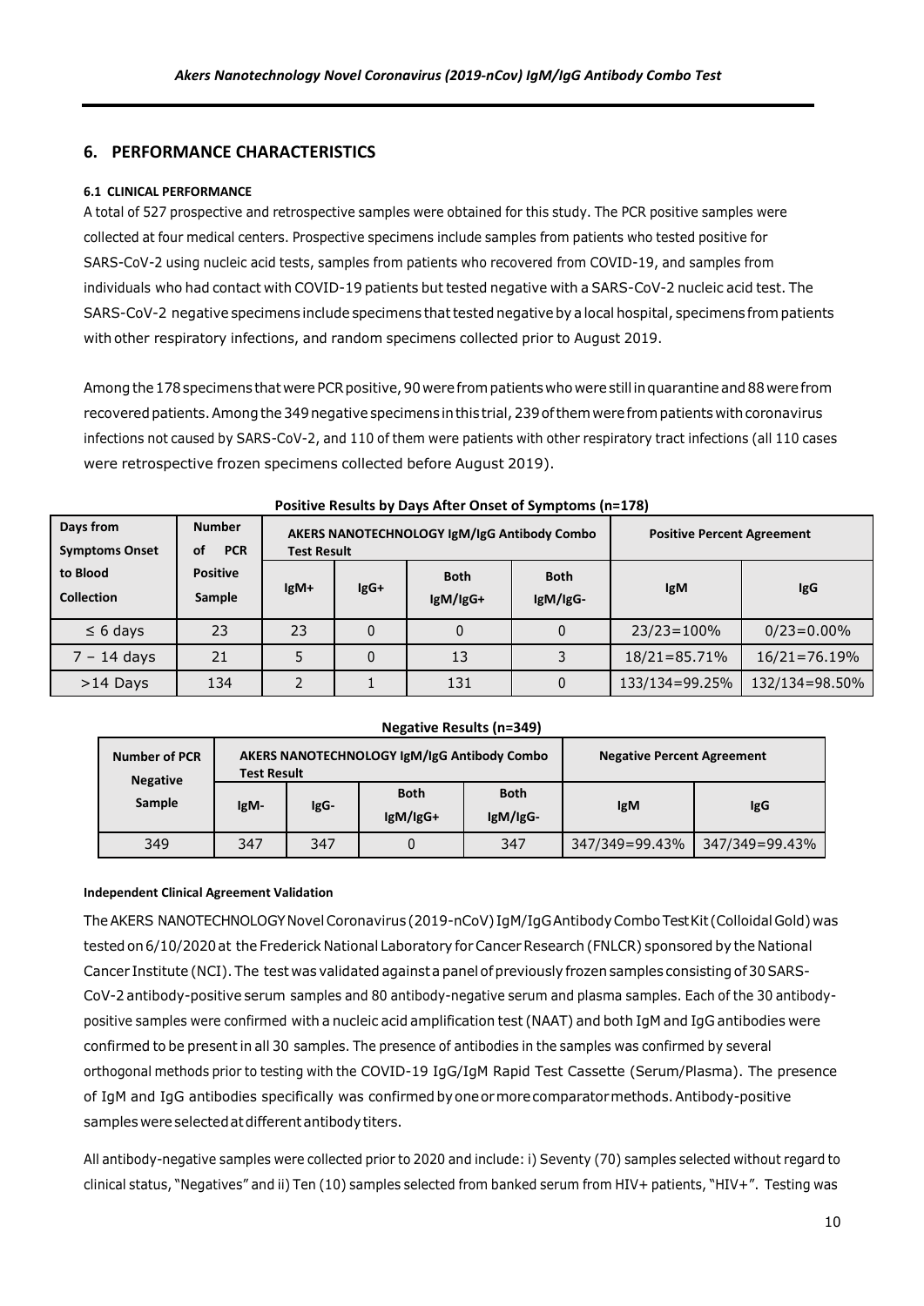# <span id="page-9-0"></span>**6. PERFORMANCE CHARACTERISTICS**

## <span id="page-9-1"></span>**6.1 CLINICAL PERFORMANCE**

A total of 527 prospective and retrospective samples were obtained for this study. The PCR positive samples were collected at four medical centers. Prospective specimens include samples from patients who tested positive for SARS-CoV-2 using nucleic acid tests, samples from patients who recovered from COVID-19, and samples from individuals who had contact with COVID-19 patients but tested negative with a SARS-CoV-2 nucleic acid test. The SARS-CoV-2 negative specimens include specimens that tested negative by a local hospital, specimens from patients with other respiratory infections, and random specimens collected prior to August 2019.

Among the 178 specimens that were PCR positive, 90 were from patients who were still in quarantine and 88 were from recovered patients. Among the 349 negative specimens in this trial, 239 of them were from patients with coronavirus infections not caused by SARS-CoV-2, and 110 of them were patients with other respiratory tract infections (all 110 cases were retrospective frozen specimens collected before August 2019).

| Days from<br><b>Symptoms Onset</b> | <b>Number</b><br><b>PCR</b><br>οf | <b>Test Result</b> |        | AKERS NANOTECHNOLOGY IgM/IgG Antibody Combo | <b>Positive Percent Agreement</b> |                |                  |
|------------------------------------|-----------------------------------|--------------------|--------|---------------------------------------------|-----------------------------------|----------------|------------------|
| to Blood<br><b>Collection</b>      | <b>Positive</b><br>Sample         | $lgM+$             | $lgG+$ | <b>Both</b><br>lgM/lgG+                     | <b>Both</b><br>IgM/IgG-           | <b>IgM</b>     | <b>IgG</b>       |
| $\leq 6$ days                      | 23                                | 23                 | 0      |                                             |                                   | $23/23 = 100%$ | $0/23 = 0.00\%$  |
| $7 - 14$ days                      | 21                                |                    | 0      | 13                                          |                                   | 18/21=85.71%   | $16/21 = 76.19%$ |
| $>14$ Days                         | 134                               |                    |        | 131                                         |                                   | 133/134=99.25% | 132/134=98.50%   |

#### **Positive Results by Days After Onset of Symptoms (n=178)**

#### **Negative Results (n=349)**

| <b>Number of PCR</b><br><b>Negative</b> | AKERS NANOTECHNOLOGY IgM/IgG Antibody Combo<br><b>Test Result</b> |      |                         |                         | <b>Negative Percent Agreement</b> |                |
|-----------------------------------------|-------------------------------------------------------------------|------|-------------------------|-------------------------|-----------------------------------|----------------|
| Sample                                  | IgM-                                                              | IgG- | <b>Both</b><br>lgM/lgG+ | <b>Both</b><br>IgM/IgG- | <b>IgM</b>                        | <b>IgG</b>     |
| 349                                     | 347                                                               | 347  | 0                       | 347                     | 347/349=99.43%                    | 347/349=99.43% |

## **Independent Clinical Agreement Validation**

TheAKERS NANOTECHNOLOGYNovelCoronavirus (2019-nCoV) IgM/IgGAntibodyCombo TestKit (Colloidal Gold) was testedon6/10/2020at the Frederick National Laboratory forCancerResearch (FNLCR) sponsored by the National Cancer Institute (NCI). The test was validated against a panel of previously frozen samples consisting of 30 SARS-CoV-2 antibody-positive serum samples and 80 antibody-negative serum and plasma samples. Each of the 30 antibodypositive samples were confirmed with a nucleic acid amplification test (NAAT) and both IgM and IgG antibodies were confirmed to be presentin all 30 samples. The presence of antibodies in the samples was confirmed by several orthogonal methods prior to testing with the COVID-19 IgG/IgM Rapid Test Cassette (Serum/Plasma). The presence of IgM and IgG antibodies specifically was confirmed byoneormorecomparatormethods.Antibody-positive samples were selected at different antibody titers.

All antibody-negative samples were collected prior to 2020 and include: i) Seventy (70) samples selected without regard to clinical status, "Negatives" and ii) Ten (10) samples selected from banked serum from HIV+ patients, "HIV+". Testing was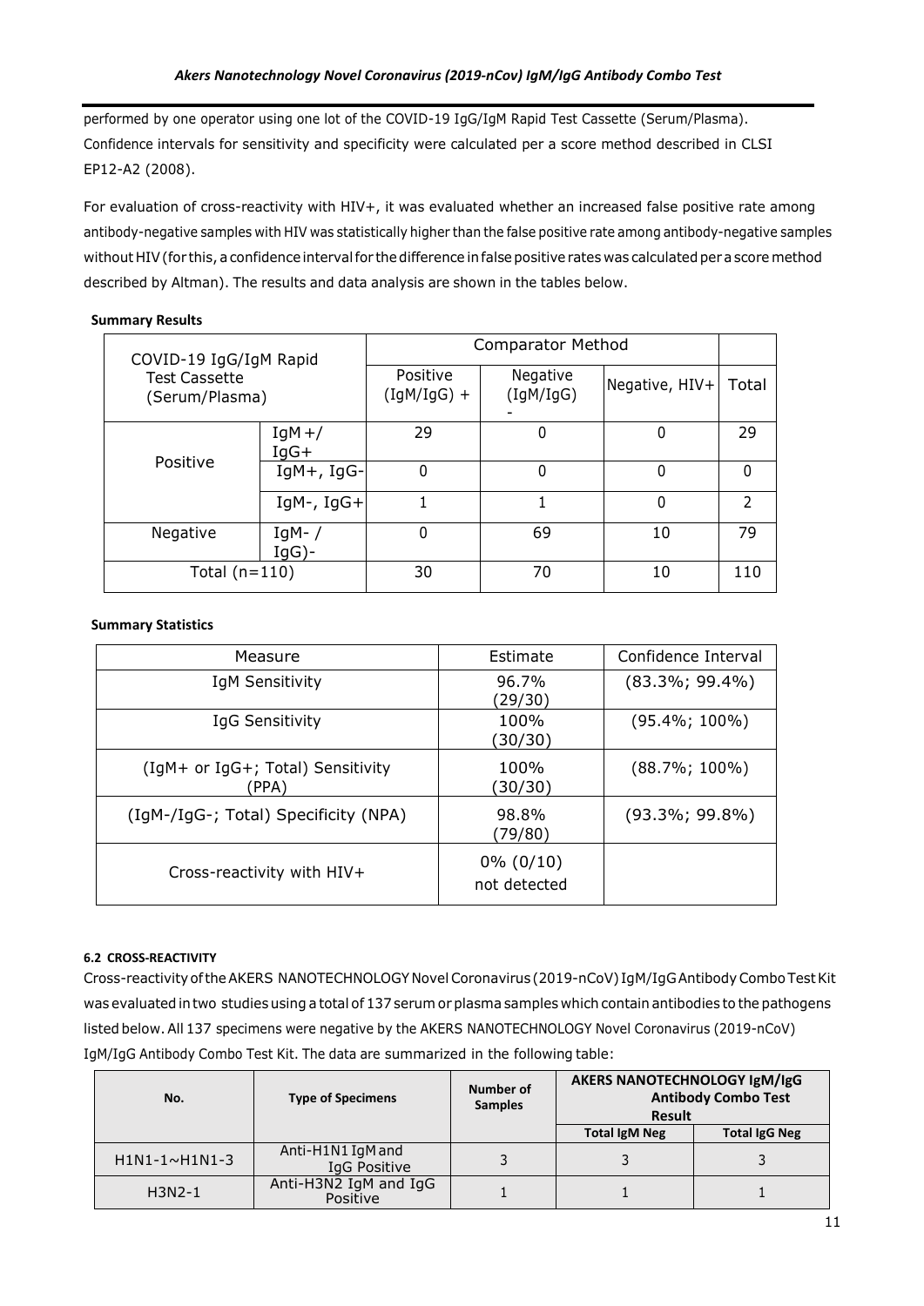performed by one operator using one lot of the COVID-19 IgG/IgM Rapid Test Cassette (Serum/Plasma). Confidence intervals for sensitivity and specificity were calculated per a score method described in CLSI EP12-A2 (2008).

For evaluation of cross-reactivity with HIV+, it was evaluated whether an increased false positive rate among antibody-negative samples with HIV was statistically higher than the false positive rate among antibody-negative samples without HIV (for this, a confidence interval for the difference in false positive rates was calculated per a score method described by Altman). The results and data analysis are shown in the tables below.

## **Summary Results**

| COVID-19 IgG/IgM Rapid<br><b>Test Cassette</b><br>(Serum/Plasma) |                      | <b>Comparator Method</b>  |                       |                |               |
|------------------------------------------------------------------|----------------------|---------------------------|-----------------------|----------------|---------------|
|                                                                  |                      | Positive<br>$(IgM/IgG) +$ | Negative<br>(IgM/IgG) | Negative, HIV+ | Total         |
| Positive                                                         | $IgM+$ /<br>$IqG+$   | 29                        | 0                     | 0              | 29            |
|                                                                  | $IgM+$ , $IgG-$      | 0                         | 0                     | $\Omega$       | 0             |
|                                                                  | $IgM-$ , $IgG+$      |                           |                       | $\mathbf{0}$   | $\mathcal{P}$ |
| Negative                                                         | $IgM-$ /<br>$IqG$ )- | 0                         | 69                    | 10             | 79            |
| Total $(n=110)$                                                  |                      | 30                        | 70                    | 10             | 110           |

## **Summary Statistics**

| Measure                                    | Estimate                     | Confidence Interval |
|--------------------------------------------|------------------------------|---------------------|
| IgM Sensitivity                            | 96.7%<br>(29/30)             | $(83.3\%; 99.4\%)$  |
| IgG Sensitivity                            | 100%<br>(30/30)              | $(95.4\%; 100\%)$   |
| (IgM+ or IgG+; Total) Sensitivity<br>(PPA) | 100%<br>(30/30)              | $(88.7\%; 100\%)$   |
| (IgM-/IgG-; Total) Specificity (NPA)       | 98.8%<br>(79/80)             | $(93.3\%; 99.8\%)$  |
| Cross-reactivity with HIV+                 | $0\% (0/10)$<br>not detected |                     |

## <span id="page-10-0"></span>**6.2 CROSS-REACTIVITY**

Cross-reactivityoftheAKERS NANOTECHNOLOGY NovelCoronavirus (2019-nCoV) IgM/IgGAntibodyCombo TestKit was evaluatedintwo studies using a total of 137 serum or plasma samples which contain antibodies to the pathogens listed below. All 137 specimens were negative by the AKERS NANOTECHNOLOGY Novel Coronavirus (2019-nCoV) IgM/IgG Antibody Combo Test Kit. The data are summarized in the following table:

| No.                  | <b>Type of Specimens</b>          | Number of<br><b>Samples</b> | AKERS NANOTECHNOLOGY IgM/IgG<br><b>Result</b> | <b>Antibody Combo Test</b> |
|----------------------|-----------------------------------|-----------------------------|-----------------------------------------------|----------------------------|
|                      |                                   |                             | <b>Total IgM Neg</b>                          | <b>Total IgG Neg</b>       |
| $H1N1-1~\sim H1N1-3$ | Anti-H1N1 IgM and<br>IgG Positive |                             |                                               |                            |
| $H3N2-1$             | Anti-H3N2 IgM and IgG<br>Positive |                             |                                               |                            |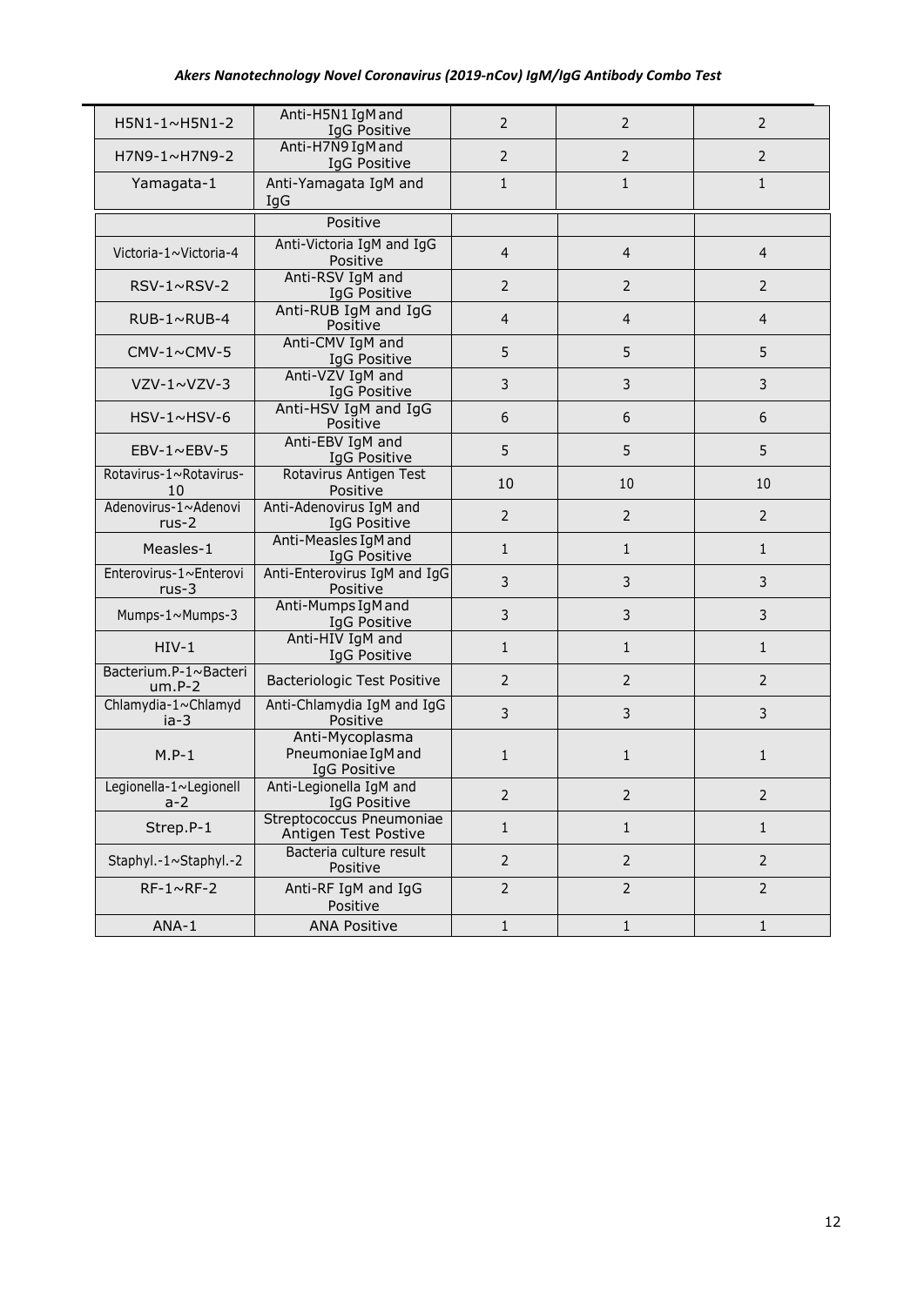## *Akers Nanotechnology Novel Coronavirus (2019-nCov) IgM/IgG Antibody Combo Test*

| H5N1-1~H5N1-2                     | Anti-H5N1 IgM and<br>IgG Positive                     | $\overline{2}$ | $\overline{2}$ | $\overline{2}$ |
|-----------------------------------|-------------------------------------------------------|----------------|----------------|----------------|
| H7N9-1~H7N9-2                     | Anti-H7N9 IgM and<br>IgG Positive                     | $\overline{2}$ | $\overline{2}$ | $\overline{2}$ |
| Yamagata-1                        | Anti-Yamagata IgM and<br>IgG                          | $\mathbf{1}$   | $\mathbf{1}$   | $\mathbf{1}$   |
|                                   | Positive                                              |                |                |                |
| Victoria-1~Victoria-4             | Anti-Victoria IgM and IgG<br>Positive                 | 4              | $\overline{4}$ | $\overline{4}$ |
| $RSV-1~NRSV-2$                    | Anti-RSV IgM and<br>IgG Positive                      | $\overline{2}$ | $\overline{2}$ | $\overline{2}$ |
| $RUB-1~\sim$ RUB-4                | Anti-RUB IgM and IgG<br>Positive                      | $\overline{4}$ | $\overline{4}$ | $\overline{4}$ |
| $CMV-1 \sim CMV-5$                | Anti-CMV IgM and<br>IgG Positive                      | 5              | 5              | 5              |
| $VZV-1~VZV-3$                     | Anti-VZV IqM and<br>IgG Positive                      | 3              | 3              | 3              |
| $HSV-1~\sim HSV-6$                | Anti-HSV IgM and IgG<br>Positive                      | 6              | 6              | 6              |
| $EBV-1\sim EBV-5$                 | Anti-EBV IgM and<br>IgG Positive                      | 5              | 5              | 5              |
| Rotavirus-1~Rotavirus-<br>10      | Rotavirus Antigen Test<br>Positive                    | 10             | 10             | 10             |
| Adenovirus-1~Adenovi<br>$rus-2$   | Anti-Adenovirus IqM and<br>IgG Positive               | $\overline{2}$ | $\overline{2}$ | $\overline{2}$ |
| Measles-1                         | Anti-Measles IgM and<br>IgG Positive                  | $\mathbf{1}$   | $\mathbf{1}$   | $\mathbf{1}$   |
| Enterovirus-1~Enterovi<br>$rus-3$ | Anti-Enterovirus IgM and IgG<br>Positive              | 3              | 3              | 3              |
| Mumps-1~Mumps-3                   | Anti-Mumps IgM and<br>IgG Positive                    | 3              | 3              | 3              |
| $HIV-1$                           | Anti-HIV IgM and<br>IgG Positive                      | $\mathbf{1}$   | $\mathbf{1}$   | $\mathbf{1}$   |
| Bacterium.P-1~Bacteri<br>$um.P-2$ | Bacteriologic Test Positive                           | $\overline{2}$ | $\overline{2}$ | $\overline{2}$ |
| Chlamydia-1~Chlamyd<br>$ia-3$     | Anti-Chlamydia IgM and IgG<br>Positive                | 3              | 3              | 3              |
| $M.P-1$                           | Anti-Mycoplasma<br>Pneumoniae IgM and<br>IgG Positive | $\mathbf{1}$   | $\mathbf{1}$   | $\mathbf{1}$   |
| Legionella-1~Legionell<br>$a-2$   | Anti-Legionella IgM and<br>IgG Positive               | $\overline{2}$ | $\overline{2}$ | $\overline{2}$ |
| Strep.P-1                         | Streptococcus Pneumoniae<br>Antigen Test Postive      | $\mathbf{1}$   | $\mathbf{1}$   | $\mathbf{1}$   |
| Staphyl.-1~Staphyl.-2             | Bacteria culture result<br>Positive                   | $\overline{2}$ | $\overline{2}$ | $\overline{2}$ |
| $RF-1~\sim$ RF-2                  | Anti-RF IgM and IgG<br>Positive                       | $\overline{2}$ | $\overline{2}$ | $\overline{2}$ |
| ANA-1                             | <b>ANA Positive</b>                                   | $\mathbf{1}$   | $\mathbf{1}$   | $\mathbf{1}$   |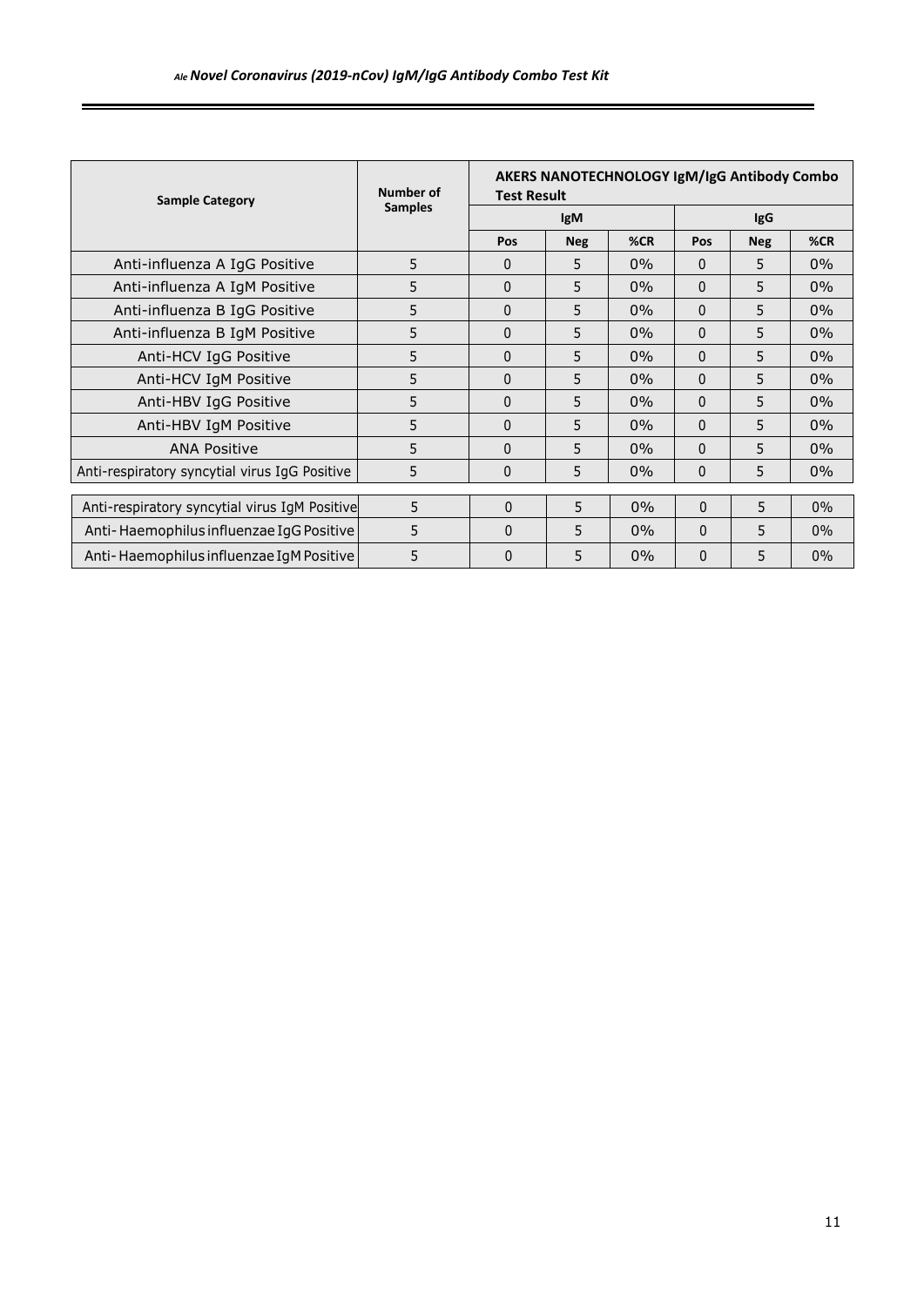| <b>Sample Category</b>                        | Number of      | <b>Test Result</b> |            | AKERS NANOTECHNOLOGY IgM/IgG Antibody Combo |            |            |       |
|-----------------------------------------------|----------------|--------------------|------------|---------------------------------------------|------------|------------|-------|
|                                               | <b>Samples</b> |                    | <b>IgM</b> |                                             | <b>IgG</b> |            |       |
|                                               |                | Pos                | <b>Neg</b> | %CR                                         | Pos        | <b>Neg</b> | %CR   |
| Anti-influenza A IgG Positive                 | 5              | $\Omega$           | 5          | $0\%$                                       | $\Omega$   | 5          | 0%    |
| Anti-influenza A IgM Positive                 | 5              | $\Omega$           | 5          | $0\%$                                       | $\Omega$   | 5          | $0\%$ |
| Anti-influenza B IgG Positive                 | 5              | $\Omega$           | 5          | 0%                                          | $\Omega$   | 5          | 0%    |
| Anti-influenza B IgM Positive                 | 5              | $\Omega$           | 5          | $0\%$                                       | $\Omega$   | 5          | 0%    |
| Anti-HCV IgG Positive                         | 5              | 0                  | 5          | $0\%$                                       | $\Omega$   | 5          | 0%    |
| Anti-HCV IgM Positive                         | 5              | 0                  | 5          | 0%                                          | $\Omega$   | 5          | 0%    |
| Anti-HBV IgG Positive                         | 5              | $\Omega$           | 5          | $0\%$                                       | $\Omega$   | 5          | $0\%$ |
| Anti-HBV IgM Positive                         | 5              | $\Omega$           | 5          | $0\%$                                       | $\Omega$   | 5          | 0%    |
| <b>ANA Positive</b>                           | 5              | $\Omega$           | 5          | $0\%$                                       | $\Omega$   | 5          | $0\%$ |
| Anti-respiratory syncytial virus IgG Positive | 5              | $\Omega$           | 5          | 0%                                          | $\Omega$   | 5          | 0%    |
|                                               |                |                    |            |                                             |            |            |       |
| Anti-respiratory syncytial virus IgM Positive | 5              | $\Omega$           | 5          | $0\%$                                       | $\Omega$   | 5.         | $0\%$ |
| Anti-Haemophilus influenzae IgG Positive      | 5              | $\Omega$           | 5          | $0\%$                                       | $\Omega$   | 5          | $0\%$ |
| Anti-Haemophilus influenzae IgM Positive      | 5              | $\mathbf{0}$       | 5          | $0\%$                                       | 0          | 5          | $0\%$ |